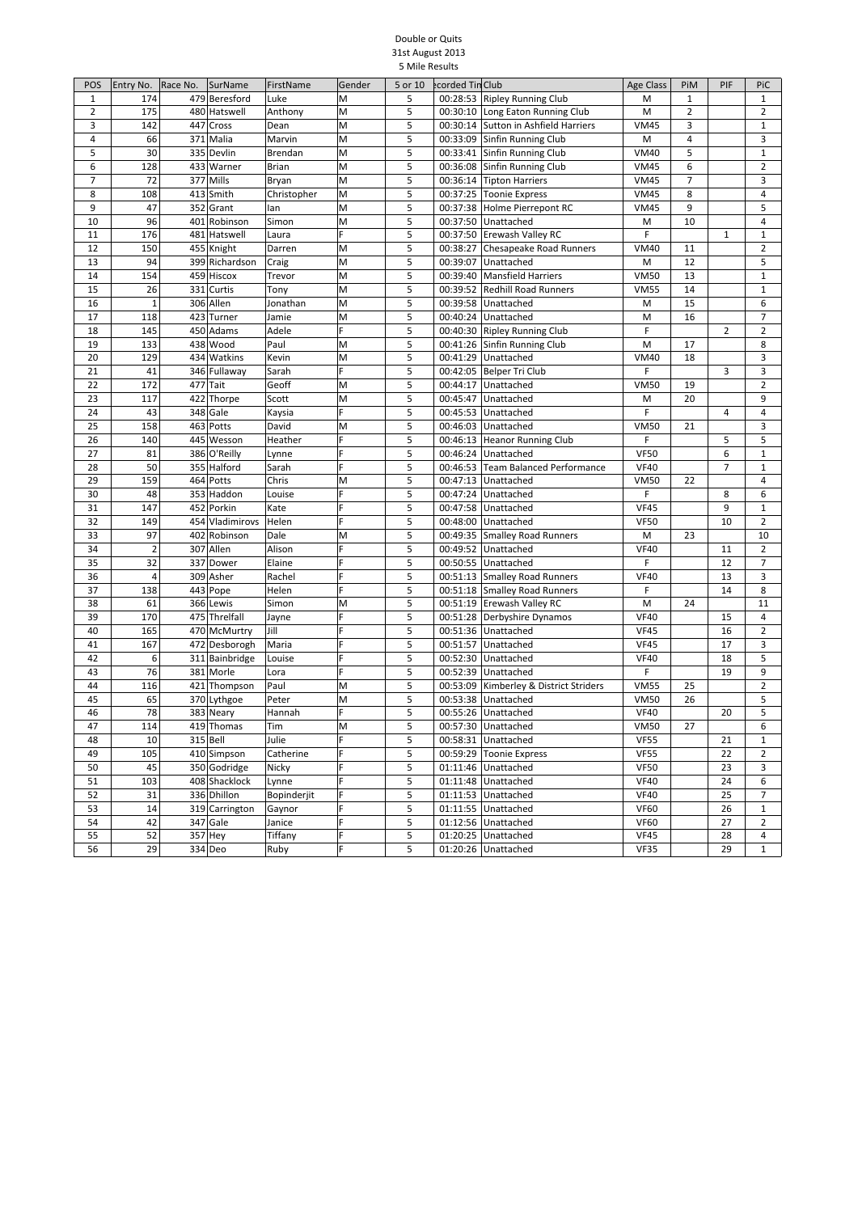## Double or Quits 31st August 2013 5 Mile Results

| POS            | Entry No.      | Race No. | SurName        | FirstName    | Gender | 5 or 10 | ecorded Tin Club     |                                      | <b>Age Class</b> | PiM            | PIF            | PiC                 |
|----------------|----------------|----------|----------------|--------------|--------|---------|----------------------|--------------------------------------|------------------|----------------|----------------|---------------------|
| $\mathbf{1}$   | 174            |          | 479 Beresford  | Luke         | M      | 5       | 00:28:53             | <b>Ripley Running Club</b>           | M                | $\mathbf{1}$   |                | $\mathbf{1}$        |
| $\overline{2}$ | 175            | 480      | Hatswell       | Anthony      | M      | 5       |                      | 00:30:10 Long Eaton Running Club     | M                | 2              |                | 2                   |
| 3              | 142            | 447      | Cross          | Dean         | M      | 5       |                      | 00:30:14 Sutton in Ashfield Harriers | <b>VM45</b>      | 3              |                | 1                   |
| 4              | 66             | 371      | Malia          | Marvin       | M      | 5       |                      | 00:33:09 Sinfin Running Club         | M                | $\sqrt{4}$     |                | 3                   |
| 5              | 30             |          | 335 Devlin     | Brendan      | M      | 5       |                      | 00:33:41 Sinfin Running Club         | <b>VM40</b>      | 5              |                | $\mathbf{1}$        |
| 6              | 128            |          | 433 Warner     | <b>Brian</b> | M      | 5       |                      | 00:36:08 Sinfin Running Club         | <b>VM45</b>      | 6              |                | $\overline{2}$      |
| $\overline{7}$ | 72             |          | 377 Mills      | Bryan        | M      | 5       |                      | 00:36:14 Tipton Harriers             | <b>VM45</b>      | $\overline{7}$ |                | 3                   |
| 8              | 108            | 413      | Smith          | Christopher  | M      | 5       |                      | 00:37:25 Toonie Express              | <b>VM45</b>      | 8              |                | 4                   |
| 9              | 47             | 352      | Grant          | lan          | M      | 5       |                      | 00:37:38 Holme Pierrepont RC         | <b>VM45</b>      | 9              |                | 5                   |
| 10             | 96             |          | 401 Robinson   | Simon        | M      | 5       |                      | 00:37:50 Unattached                  | M                | 10             |                | 4                   |
| 11             | 176            |          | 481 Hatswell   | Laura        | F      | 5       |                      | 00:37:50 Erewash Valley RC           | F                |                | $\mathbf{1}$   | $\mathbf{1}$        |
| 12             | 150            |          | 455 Knight     | Darren       | M      | 5       |                      | 00:38:27 Chesapeake Road Runners     | <b>VM40</b>      | 11             |                | 2                   |
| 13             | 94             | 399      | Richardson     | Craig        | M      | 5       | 00:39:07             | Unattached                           | M                | 12             |                | 5                   |
| 14             | 154            | 459      | Hiscox         | Trevor       | M      | 5       | 00:39:40             | <b>Mansfield Harriers</b>            | <b>VM50</b>      | 13             |                | 1                   |
| 15             | 26             | 331      | Curtis         | Tony         | M      | 5       | 00:39:52             | <b>Redhill Road Runners</b>          | <b>VM55</b>      | 14             |                | $\mathbf{1}$        |
| 16             | $\mathbf 1$    |          | 306 Allen      | Jonathan     | M      | 5       | 00:39:58             | Unattached                           | M                | 15             |                | 6                   |
| 17             | 118            |          | 423 Turner     | Jamie        | M      | 5       |                      | 00:40:24 Unattached                  | M                | 16             |                | 7                   |
| 18             | 145            | 450      | Adams          | Adele        | F      | 5       |                      | 00:40:30 Ripley Running Club         | F                |                | $\overline{2}$ | $\overline{2}$      |
| 19             | 133            |          | 438 Wood       | Paul         | M      | 5       |                      | 00:41:26 Sinfin Running Club         | M                | 17             |                | 8                   |
| 20             | 129            |          | 434 Watkins    | Kevin        | M      | 5       | 00:41:29             | Unattached                           | <b>VM40</b>      | 18             |                | 3                   |
| 21             | 41             |          | 346 Fullaway   | Sarah        | F      | 5       | 00:42:05             |                                      | F                |                | 3              | 3                   |
|                |                |          |                |              |        | 5       |                      | Belper Tri Club                      |                  |                |                |                     |
| 22             | 172            | 477      | Tait           | Geoff        | M      |         | 00:44:17<br>00:45:47 | Unattached                           | <b>VM50</b>      | 19             |                | $\overline{2}$<br>9 |
| 23             | 117            | 422      | Thorpe         | Scott        | M<br>F | 5       |                      | Unattached                           | M                | 20             |                |                     |
| 24             | 43             |          | 348 Gale       | Kaysia       |        | 5       | 00:45:53             | Unattached                           | F                |                | 4              | 4                   |
| 25             | 158            |          | 463 Potts      | David        | M      | 5       | 00:46:03             | Unattached                           | <b>VM50</b>      | 21             |                | 3                   |
| 26             | 140            |          | 445 Wesson     | Heather      | F      | 5       | 00:46:13             | <b>Heanor Running Club</b>           | F                |                | 5              | 5                   |
| 27             | 81             |          | 386 O'Reilly   | Lynne        | F<br>F | 5       | 00:46:24             | Unattached                           | <b>VF50</b>      |                | 6              | $\mathbf{1}$        |
| 28             | 50             |          | 355 Halford    | Sarah        |        | 5       | 00:46:53             | <b>Team Balanced Performance</b>     | <b>VF40</b>      |                | 7              | 1                   |
| 29             | 159            |          | 464 Potts      | Chris        | M      | 5       |                      | 00:47:13 Unattached                  | <b>VM50</b>      | 22             |                | 4                   |
| 30             | 48             | 353      | Haddon         | Louise       | F      | 5       | 00:47:24             | Unattached                           | F                |                | 8              | 6                   |
| 31             | 147            |          | 452 Porkin     | Kate         | F      | 5       | 00:47:58             | Unattached                           | <b>VF45</b>      |                | 9              | 1                   |
| 32             | 149            | 454      | Vladimirovs    | Helen        | F      | 5       | 00:48:00             | Unattached                           | <b>VF50</b>      |                | 10             | 2                   |
| 33             | 97             |          | 402 Robinson   | Dale         | M      | 5       | 00:49:35             | <b>Smalley Road Runners</b>          | M                | 23             |                | 10                  |
| 34             | $\overline{2}$ |          | 307 Allen      | Alison       | F      | 5       | 00:49:52             | Unattached                           | <b>VF40</b>      |                | 11             | $\overline{2}$      |
| 35             | 32             | 337      | Dower          | Elaine       | F      | 5       |                      | 00:50:55 Unattached                  | F                |                | 12             | 7                   |
| 36             | $\overline{4}$ |          | 309 Asher      | Rachel       | F      | 5       |                      | 00:51:13 Smalley Road Runners        | <b>VF40</b>      |                | 13             | 3                   |
| 37             | 138            | 443      | Pope           | Helen        | F      | 5       |                      | 00:51:18 Smalley Road Runners        | F                |                | 14             | 8                   |
| 38             | 61             |          | 366 Lewis      | Simon        | M      | 5       |                      | 00:51:19 Erewash Valley RC           | M                | 24             |                | 11                  |
| 39             | 170            |          | 475 Threlfall  | Jayne        |        | 5       |                      | 00:51:28 Derbyshire Dynamos          | <b>VF40</b>      |                | 15             | 4                   |
| 40             | 165            | 470      | McMurtry       | Jill         | F      | 5       | 00:51:36             | Unattached                           | <b>VF45</b>      |                | 16             | $\overline{2}$      |
| 41             | 167            |          | 472 Desborogh  | Maria        | F      | 5       | 00:51:57             | Unattached                           | <b>VF45</b>      |                | 17             | 3                   |
| 42             | 6              |          | 311 Bainbridge | Louise       | F      | 5       |                      | 00:52:30 Unattached                  | <b>VF40</b>      |                | 18             | 5                   |
| 43             | 76             | 381      | Morle          | Lora         | F      | 5       | 00:52:39             | Unattached                           | F                |                | 19             | 9                   |
| 44             | 116            | 421      | Thompson       | Paul         | M      | 5       | 00:53:09             | Kimberley & District Striders        | <b>VM55</b>      | 25             |                | $\overline{2}$      |
| 45             | 65             |          | 370 Lythgoe    | Peter        | M      | 5       | 00:53:38             | Unattached                           | <b>VM50</b>      | 26             |                | 5                   |
| 46             | 78             |          | 383 Neary      | Hannah       | F      | 5       |                      | 00:55:26 Unattached                  | <b>VF40</b>      |                | 20             | 5                   |
| 47             | 114            |          | 419 Thomas     | Tim          | M      | 5       |                      | 00:57:30 Unattached                  | <b>VM50</b>      | 27             |                | 6                   |
| 48             | 10             |          | $315$ Bell     | Julie        | F      | 5       |                      | 00:58:31 Unattached                  | <b>VF55</b>      |                | 21             | $\mathbf{1}$        |
| 49             | 105            |          | 410 Simpson    | Catherine    | F      | 5       |                      | 00:59:29 Toonie Express              | <b>VF55</b>      |                | 22             | 2                   |
| 50             | 45             |          | 350 Godridge   | Nicky        | F      | 5       |                      | 01:11:46 Unattached                  | <b>VF50</b>      |                | 23             | 3                   |
| 51             | 103            |          | 408 Shacklock  | Lynne        | F      | 5       |                      | 01:11:48 Unattached                  | <b>VF40</b>      |                | 24             | 6                   |
| 52             | 31             |          | 336 Dhillon    | Bopinderjit  | F      | 5       |                      | 01:11:53 Unattached                  | <b>VF40</b>      |                | 25             | 7                   |
| 53             | 14             |          | 319 Carrington | Gaynor       | F      | 5       |                      | 01:11:55 Unattached                  | <b>VF60</b>      |                | 26             | 1                   |
| 54             | 42             |          | 347 Gale       | Janice       | F      | 5       |                      | 01:12:56 Unattached                  | <b>VF60</b>      |                | 27             | $\overline{2}$      |
| 55             | 52             |          | 357 Hey        | Tiffany      | F      | 5       |                      | 01:20:25 Unattached                  | <b>VF45</b>      |                | 28             | 4                   |
| 56             | 29             |          | 334 Deo        | Ruby         | F      | 5       |                      | 01:20:26 Unattached                  | <b>VF35</b>      |                | 29             | $\mathbf{1}$        |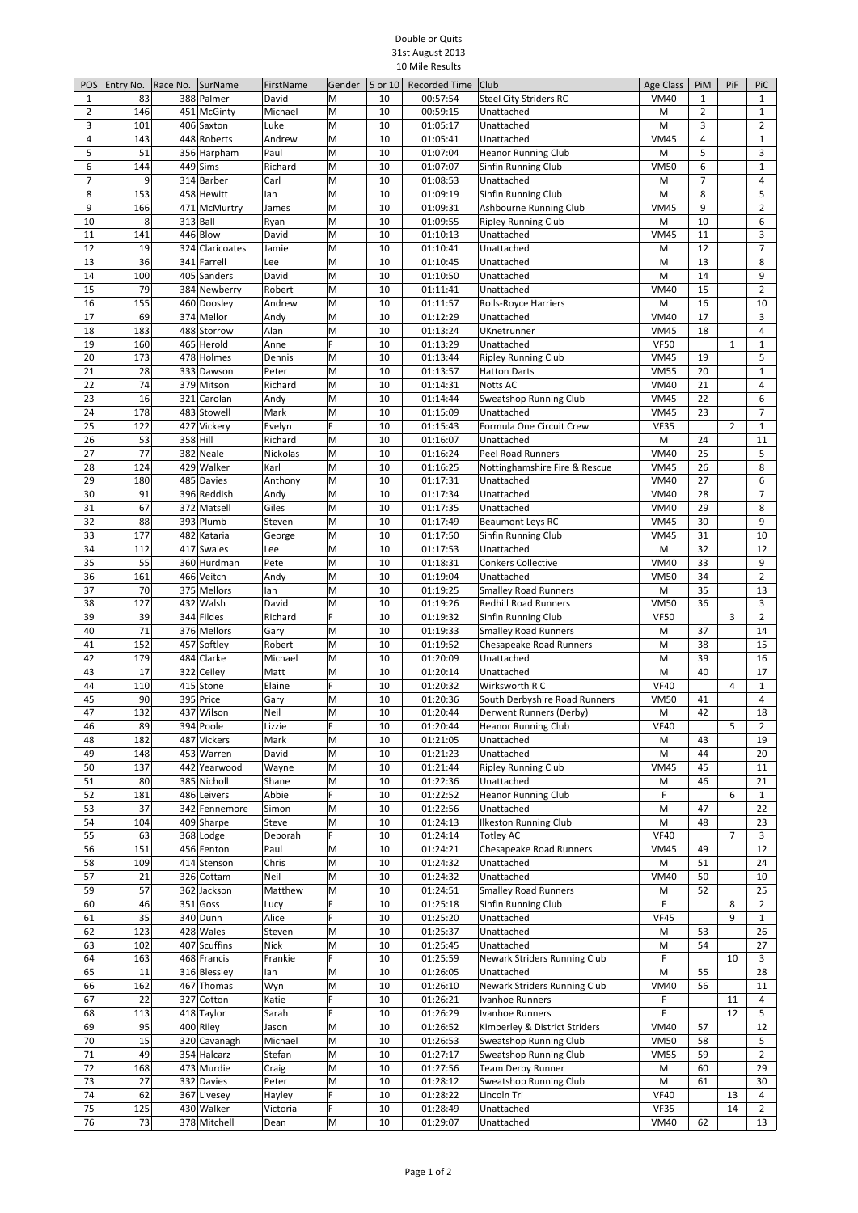## Double or Quits 31st August 2013 10 Mile Results

| POS            | Entry No.  | Race No.<br>SurName                 | FirstName        | Gender | 5 or 10  | <b>Recorded Time</b> | Club                                                       | Age Class                  | PiM                 | PiF            | PiC                            |
|----------------|------------|-------------------------------------|------------------|--------|----------|----------------------|------------------------------------------------------------|----------------------------|---------------------|----------------|--------------------------------|
| 1              | 83         | 388 Palmer                          | David            | M      | 10       | 00:57:54             | <b>Steel City Striders RC</b>                              | <b>VM40</b>                | $\mathbf{1}$        |                | $\mathbf{1}$                   |
| $\overline{2}$ | 146        | 451 McGinty                         | Michael          | M      | 10       | 00:59:15             | Unattached                                                 | M                          | $\overline{2}$      |                | $1\,$                          |
| 3              | 101        | 406 Saxton                          | Luke             | M      | 10       | 01:05:17             | Unattached                                                 | M                          | 3                   |                | $\overline{2}$                 |
| 4<br>5         | 143<br>51  | 448 Roberts<br>356 Harpham          | Andrew<br>Paul   | M<br>M | 10<br>10 | 01:05:41<br>01:07:04 | Unattached<br><b>Heanor Running Club</b>                   | <b>VM45</b><br>M           | $\overline{4}$<br>5 |                | $\mathbf 1$<br>3               |
| 6              | 144        | 449<br>Sims                         | Richard          | M      | 10       | 01:07:07             | Sinfin Running Club                                        | <b>VM50</b>                | 6                   |                | $\mathbf 1$                    |
| $\overline{7}$ | 9          | 314 Barber                          | Carl             | M      | 10       | 01:08:53             | Unattached                                                 | M                          | 7                   |                | 4                              |
| 8              | 153        | 458 Hewitt                          | lan              | M      | 10       | 01:09:19             | Sinfin Running Club                                        | M                          | 8                   |                | 5                              |
| 9              | 166        | 471 McMurtry                        | James            | M      | 10       | 01:09:31             | Ashbourne Running Club                                     | <b>VM45</b>                | 9                   |                | $\overline{2}$                 |
| 10             | 8          | 313 Ball                            | Ryan             | M      | 10       | 01:09:55             | <b>Ripley Running Club</b>                                 | M                          | 10                  |                | 6                              |
| 11             | 141        | 446 Blow<br>324 Claricoates         | David            | M      | 10       | 01:10:13             | Unattached                                                 | <b>VM45</b>                | 11                  |                | 3<br>$\overline{7}$            |
| 12<br>13       | 19<br>36   | 341<br>Farrell                      | Jamie<br>Lee     | M<br>M | 10<br>10 | 01:10:41<br>01:10:45 | Unattached<br>Unattached                                   | M<br>M                     | 12<br>13            |                | 8                              |
| 14             | 100        | 405<br>Sanders                      | David            | M      | 10       | 01:10:50             | Unattached                                                 | M                          | 14                  |                | 9                              |
| 15             | 79         | 384 Newberry                        | Robert           | M      | 10       | 01:11:41             | Unattached                                                 | <b>VM40</b>                | 15                  |                | $\overline{2}$                 |
| 16             | 155        | 460 Doosley                         | Andrew           | M      | 10       | 01:11:57             | Rolls-Royce Harriers                                       | M                          | 16                  |                | 10                             |
| 17             | 69         | 374 Mellor                          | Andy             | M      | 10       | 01:12:29             | Unattached                                                 | <b>VM40</b>                | 17                  |                | 3                              |
| 18             | 183        | 488 Storrow                         | Alan             | M      | 10       | 01:13:24             | UKnetrunner                                                | <b>VM45</b>                | 18                  |                | $\overline{4}$                 |
| 19             | 160        | 465 Herold                          | Anne             | F      | 10       | 01:13:29             | Unattached                                                 | <b>VF50</b>                |                     | $\mathbf{1}$   | $\mathbf{1}$                   |
| 20<br>21       | 173<br>28  | 478 Holmes<br>333 Dawson            | Dennis<br>Peter  | M<br>M | 10<br>10 | 01:13:44<br>01:13:57 | <b>Ripley Running Club</b><br><b>Hatton Darts</b>          | <b>VM45</b><br><b>VM55</b> | 19<br>20            |                | 5<br>$1\,$                     |
| 22             | 74         | 379 Mitson                          | Richard          | M      | 10       | 01:14:31             | Notts AC                                                   | <b>VM40</b>                | 21                  |                | $\overline{4}$                 |
| 23             | 16         | 321<br>Carolan                      | Andy             | M      | 10       | 01:14:44             | Sweatshop Running Club                                     | <b>VM45</b>                | 22                  |                | 6                              |
| 24             | 178        | 483 Stowell                         | Mark             | M      | 10       | 01:15:09             | Unattached                                                 | <b>VM45</b>                | 23                  |                | $\overline{7}$                 |
| 25             | 122        | 427 Vickery                         | Evelyn           | F      | 10       | 01:15:43             | Formula One Circuit Crew                                   | <b>VF35</b>                |                     | $\overline{2}$ | $\mathbf 1$                    |
| 26             | 53         | 358 Hill                            | Richard          | M      | 10       | 01:16:07             | Unattached                                                 | M                          | 24                  |                | 11                             |
| 27             | 77         | 382<br>Neale                        | Nickolas         | M      | 10       | 01:16:24             | <b>Peel Road Runners</b>                                   | <b>VM40</b>                | 25                  |                | 5                              |
| 28<br>29       | 124<br>180 | 429 Walker<br>485 Davies            | Karl             | M<br>M | 10<br>10 | 01:16:25<br>01:17:31 | Nottinghamshire Fire & Rescue                              | <b>VM45</b><br><b>VM40</b> | 26<br>27            |                | 8<br>6                         |
| 30             | 91         | 396 Reddish                         | Anthony<br>Andy  | M      | 10       | 01:17:34             | Unattached<br>Unattached                                   | <b>VM40</b>                | 28                  |                | $\overline{7}$                 |
| 31             | 67         | 372 Matsell                         | Giles            | M      | 10       | 01:17:35             | Unattached                                                 | <b>VM40</b>                | 29                  |                | 8                              |
| 32             | 88         | 393 Plumb                           | Steven           | M      | 10       | 01:17:49             | <b>Beaumont Leys RC</b>                                    | <b>VM45</b>                | 30                  |                | 9                              |
| 33             | 177        | 482 Kataria                         | George           | M      | 10       | 01:17:50             | Sinfin Running Club                                        | <b>VM45</b>                | 31                  |                | 10                             |
| 34             | 112        | 417 Swales                          | Lee              | M      | 10       | 01:17:53             | Unattached                                                 | M                          | 32                  |                | 12                             |
| 35             | 55         | 360 Hurdman                         | Pete             | M      | 10       | 01:18:31             | <b>Conkers Collective</b>                                  | <b>VM40</b>                | 33                  |                | 9                              |
| 36<br>37       | 161<br>70  | 466 Veitch<br>375<br><b>Mellors</b> | Andy             | M<br>M | 10<br>10 | 01:19:04             | Unattached                                                 | <b>VM50</b><br>M           | 34<br>35            |                | $\overline{2}$<br>13           |
| 38             | 127        | 432 Walsh                           | lan<br>David     | M      | 10       | 01:19:25<br>01:19:26 | <b>Smalley Road Runners</b><br><b>Redhill Road Runners</b> | <b>VM50</b>                | 36                  |                | 3                              |
| 39             | 39         | 344 Fildes                          | Richard          | F      | 10       | 01:19:32             | Sinfin Running Club                                        | <b>VF50</b>                |                     | 3              | $\overline{2}$                 |
| 40             | 71         | 376 Mellors                         | Gary             | M      | 10       | 01:19:33             | <b>Smalley Road Runners</b>                                | M                          | 37                  |                | 14                             |
| 41             | 152        | 457 Softley                         | Robert           | M      | 10       | 01:19:52             | <b>Chesapeake Road Runners</b>                             | M                          | 38                  |                | 15                             |
| 42             | 179        | 484 Clarke                          | Michael          | M      | 10       | 01:20:09             | Unattached                                                 | M                          | 39                  |                | 16                             |
| 43             | 17         | 322 Ceiley                          | Matt             | M      | 10       | 01:20:14             | Unattached                                                 | M                          | 40                  |                | 17                             |
| 44<br>45       | 110<br>90  | 415 Stone<br>395 Price              | Elaine<br>Gary   | F<br>M | 10<br>10 | 01:20:32<br>01:20:36 | Wirksworth R C<br>South Derbyshire Road Runners            | <b>VF40</b><br><b>VM50</b> | 41                  | 4              | $\mathbf{1}$<br>4              |
| 47             | 132        | 437 Wilson                          | Neil             | M      | 10       | 01:20:44             | Derwent Runners (Derby)                                    | M                          | 42                  |                | 18                             |
| 46             | 89         | 394 Poole                           | Lizzie           | lF.    | 10       | 01:20:44             | <b>Heanor Running Club</b>                                 | <b>VF40</b>                |                     | 5              | 2                              |
| 48             | 182        | 487 Vickers                         | Mark             | M      | 10       | 01:21:05             | Unattached                                                 | M                          | 43                  |                | 19                             |
| 49             | 148        | 453 Warren                          | David            | M      | 10       | 01:21:23             | Unattached                                                 | M                          | 44                  |                | 20                             |
| 50             | 137        | 442 Yearwood                        | Wayne            | M      | 10       | 01:21:44             | <b>Ripley Running Club</b>                                 | <b>VM45</b>                | 45                  |                | 11                             |
| 51             | 80         | 385 Nicholl                         | Shane            | M<br>F | 10       | 01:22:36             | Unattached                                                 | M                          | 46                  |                | 21                             |
| 52<br>53       | 181<br>37  | 486 Leivers<br>342 Fennemore        | Abbie<br>Simon   | M      | 10<br>10 | 01:22:52<br>01:22:56 | <b>Heanor Running Club</b><br>Unattached                   | F<br>M                     | 47                  | 6              | $\mathbf{1}$<br>22             |
| 54             | 104        | 409 Sharpe                          | Steve            | M      | 10       | 01:24:13             | <b>Ilkeston Running Club</b>                               | M                          | 48                  |                | 23                             |
| 55             | 63         | 368 Lodge                           | Deborah          | F      | 10       | 01:24:14             | <b>Totley AC</b>                                           | <b>VF40</b>                |                     | $\overline{7}$ | 3                              |
| 56             | 151        | 456 Fenton                          | Paul             | M      | 10       | 01:24:21             | <b>Chesapeake Road Runners</b>                             | <b>VM45</b>                | 49                  |                | 12                             |
| 58             | 109        | 414 Stenson                         | Chris            | M      | 10       | 01:24:32             | Unattached                                                 | M                          | 51                  |                | 24                             |
| 57             | 21         | 326 Cottam                          | Neil             | M      | 10       | 01:24:32             | Unattached                                                 | <b>VM40</b>                | 50                  |                | 10                             |
| 59             | 57         | 362 Jackson                         | Matthew          | M      | 10       | 01:24:51             | <b>Smalley Road Runners</b>                                | M                          | 52                  |                | 25                             |
| 60<br>61       | 46<br>35   | 351 Goss<br>340 Dunn                | Lucy<br>Alice    | F<br>F | 10<br>10 | 01:25:18<br>01:25:20 | Sinfin Running Club<br>Unattached                          | F<br><b>VF45</b>           |                     | 8<br>9         | $\overline{2}$<br>$\mathbf{1}$ |
| 62             | 123        | 428 Wales                           | Steven           | M      | 10       | 01:25:37             | Unattached                                                 | M                          | 53                  |                | 26                             |
| 63             | 102        | 407 Scuffins                        | <b>Nick</b>      | M      | 10       | 01:25:45             | Unattached                                                 | M                          | 54                  |                | 27                             |
| 64             | 163        | 468 Francis                         | Frankie          | F      | 10       | 01:25:59             | Newark Striders Running Club                               | F                          |                     | 10             | 3                              |
| 65             | 11         | 316 Blessley                        | lan              | M      | 10       | 01:26:05             | Unattached                                                 | M                          | 55                  |                | 28                             |
| 66             | 162        | 467 Thomas                          | Wyn              | M      | 10       | 01:26:10             | Newark Striders Running Club                               | <b>VM40</b>                | 56                  |                | 11                             |
| 67             | 22         | 327 Cotton                          | Katie            | F      | 10       | 01:26:21             | Ivanhoe Runners                                            | F                          |                     | 11             | 4                              |
| 68             | 113        | 418 Taylor<br>400 Riley             | Sarah            | F<br>M | 10<br>10 | 01:26:29<br>01:26:52 | Ivanhoe Runners<br>Kimberley & District Striders           | F                          | 57                  | 12             | 5<br>12                        |
| 69<br>70       | 95<br>15   | 320 Cavanagh                        | Jason<br>Michael | M      | 10       | 01:26:53             | Sweatshop Running Club                                     | <b>VM40</b><br><b>VM50</b> | 58                  |                | 5                              |
| 71             | 49         | 354 Halcarz                         | Stefan           | M      | 10       | 01:27:17             | Sweatshop Running Club                                     | <b>VM55</b>                | 59                  |                | $\overline{2}$                 |
| 72             | 168        | 473 Murdie                          | Craig            | M      | 10       | 01:27:56             | Team Derby Runner                                          | M                          | 60                  |                | 29                             |
| 73             | 27         | 332 Davies                          | Peter            | M      | 10       | 01:28:12             | Sweatshop Running Club                                     | M                          | 61                  |                | 30                             |
| 74             | 62         | 367 Livesey                         | Hayley           | F      | 10       | 01:28:22             | Lincoln Tri                                                | <b>VF40</b>                |                     | 13             | 4                              |
| 75             | 125        | 430 Walker                          | Victoria         | F      | 10       | 01:28:49             | Unattached                                                 | <b>VF35</b>                |                     | 14             | $\overline{2}$                 |
| 76             | 73         | 378 Mitchell                        | Dean             | M      | 10       | 01:29:07             | Unattached                                                 | <b>VM40</b>                | 62                  |                | 13                             |